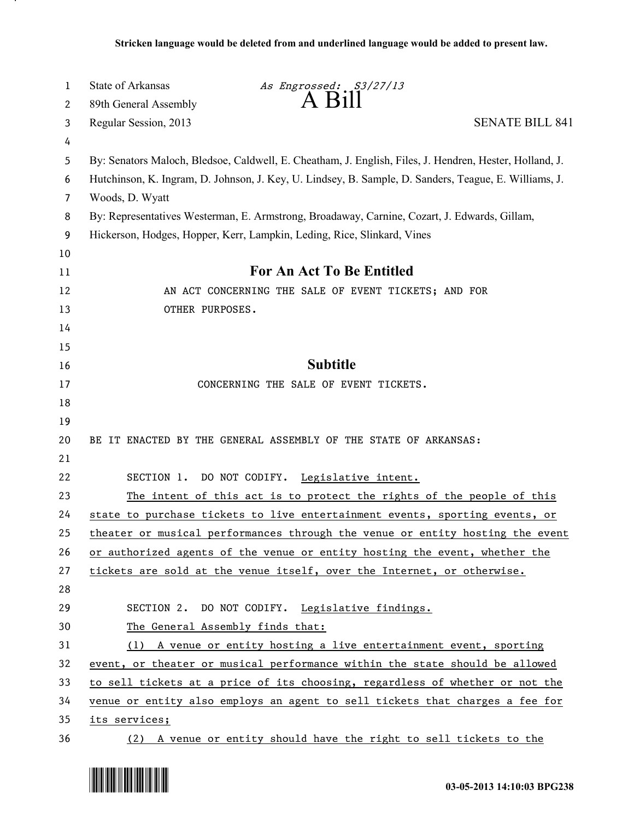| 1  | <b>State of Arkansas</b>                                                                                | As Engrossed: S3/27/13<br>$A$ Bill                                            |                        |  |
|----|---------------------------------------------------------------------------------------------------------|-------------------------------------------------------------------------------|------------------------|--|
| 2  | 89th General Assembly                                                                                   |                                                                               |                        |  |
| 3  | Regular Session, 2013                                                                                   |                                                                               | <b>SENATE BILL 841</b> |  |
| 4  |                                                                                                         |                                                                               |                        |  |
| 5  | By: Senators Maloch, Bledsoe, Caldwell, E. Cheatham, J. English, Files, J. Hendren, Hester, Holland, J. |                                                                               |                        |  |
| 6  | Hutchinson, K. Ingram, D. Johnson, J. Key, U. Lindsey, B. Sample, D. Sanders, Teague, E. Williams, J.   |                                                                               |                        |  |
| 7  | Woods, D. Wyatt                                                                                         |                                                                               |                        |  |
| 8  | By: Representatives Westerman, E. Armstrong, Broadaway, Carnine, Cozart, J. Edwards, Gillam,            |                                                                               |                        |  |
| 9  | Hickerson, Hodges, Hopper, Kerr, Lampkin, Leding, Rice, Slinkard, Vines                                 |                                                                               |                        |  |
| 10 |                                                                                                         |                                                                               |                        |  |
| 11 | For An Act To Be Entitled                                                                               |                                                                               |                        |  |
| 12 | AN ACT CONCERNING THE SALE OF EVENT TICKETS; AND FOR                                                    |                                                                               |                        |  |
| 13 | OTHER PURPOSES.                                                                                         |                                                                               |                        |  |
| 14 |                                                                                                         |                                                                               |                        |  |
| 15 |                                                                                                         |                                                                               |                        |  |
| 16 | <b>Subtitle</b>                                                                                         |                                                                               |                        |  |
| 17 |                                                                                                         | CONCERNING THE SALE OF EVENT TICKETS.                                         |                        |  |
| 18 |                                                                                                         |                                                                               |                        |  |
| 19 |                                                                                                         |                                                                               |                        |  |
| 20 | BE IT ENACTED BY THE GENERAL ASSEMBLY OF THE STATE OF ARKANSAS:                                         |                                                                               |                        |  |
| 21 |                                                                                                         |                                                                               |                        |  |
| 22 | SECTION 1. DO NOT CODIFY.                                                                               | Legislative intent.                                                           |                        |  |
| 23 |                                                                                                         | The intent of this act is to protect the rights of the people of this         |                        |  |
| 24 | state to purchase tickets to live entertainment events, sporting events, or                             |                                                                               |                        |  |
| 25 |                                                                                                         | theater or musical performances through the venue or entity hosting the event |                        |  |
| 26 |                                                                                                         | or authorized agents of the venue or entity hosting the event, whether the    |                        |  |
| 27 |                                                                                                         | tickets are sold at the venue itself, over the Internet, or otherwise.        |                        |  |
| 28 |                                                                                                         |                                                                               |                        |  |
| 29 |                                                                                                         | SECTION 2. DO NOT CODIFY. Legislative findings.                               |                        |  |
| 30 | The General Assembly finds that:                                                                        |                                                                               |                        |  |
| 31 |                                                                                                         | (1) A venue or entity hosting a live entertainment event, sporting            |                        |  |
| 32 | event, or theater or musical performance within the state should be allowed                             |                                                                               |                        |  |
| 33 | to sell tickets at a price of its choosing, regardless of whether or not the                            |                                                                               |                        |  |
| 34 | venue or entity also employs an agent to sell tickets that charges a fee for                            |                                                                               |                        |  |
| 35 | its services;                                                                                           |                                                                               |                        |  |
| 36 |                                                                                                         | (2) A venue or entity should have the right to sell tickets to the            |                        |  |



.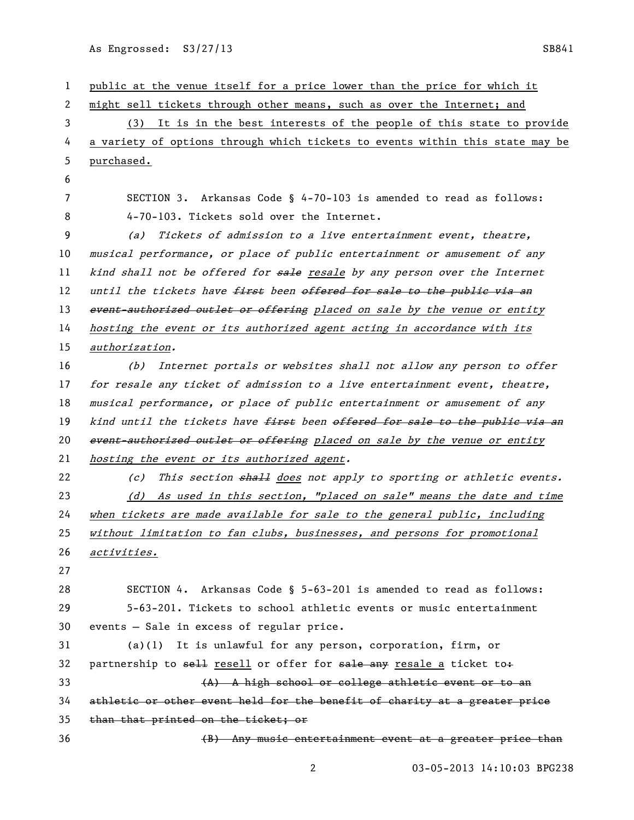As Engrossed: S3/27/13 SB841

 public at the venue itself for a price lower than the price for which it might sell tickets through other means, such as over the Internet; and (3) It is in the best interests of the people of this state to provide a variety of options through which tickets to events within this state may be purchased. SECTION 3. Arkansas Code § 4-70-103 is amended to read as follows: 4-70-103. Tickets sold over the Internet. (a) Tickets of admission to a live entertainment event, theatre, musical performance, or place of public entertainment or amusement of any 11 kind shall not be offered for sale resale by any person over the Internet 12 until the tickets have first been offered for sale to the public via an 13 event-authorized outlet or offering placed on sale by the venue or entity hosting the event or its authorized agent acting in accordance with its authorization. (b) Internet portals or websites shall not allow any person to offer for resale any ticket of admission to a live entertainment event, theatre, musical performance, or place of public entertainment or amusement of any 19 kind until the tickets have <del>first</del> been offered for sale to the public via an 20 event-authorized outlet or offering placed on sale by the venue or entity hosting the event or its authorized agent. 22 (c) This section shall does not apply to sporting or athletic events. (d) As used in this section, "placed on sale" means the date and time when tickets are made available for sale to the general public, including without limitation to fan clubs, businesses, and persons for promotional activities. SECTION 4. Arkansas Code § 5-63-201 is amended to read as follows: 5-63-201. Tickets to school athletic events or music entertainment events — Sale in excess of regular price. (a)(1) It is unlawful for any person, corporation, firm, or 32 partnership to sell resell or offer for sale any resale a ticket to+ 33 (A) A high school or college athletic event or to an athletic or other event held for the benefit of charity at a greater price than that printed on the ticket; or (B) Any music entertainment event at a greater price than

03-05-2013 14:10:03 BPG238